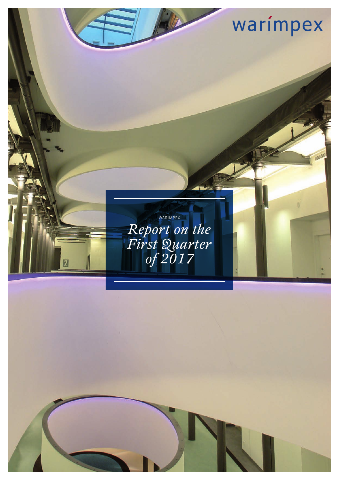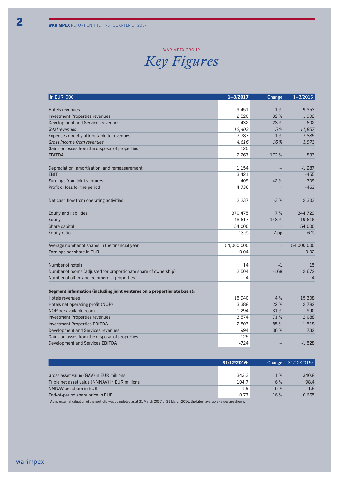#### WARIMPEX GROU

### *Key Figures*

| in EUR '000                                                              | $1 - 3/2017$ | Change | $1 - 3/2016$   |
|--------------------------------------------------------------------------|--------------|--------|----------------|
|                                                                          |              |        |                |
| Hotels revenues                                                          | 9,451        | 1%     | 9,353          |
| <b>Investment Properties revenues</b>                                    | 2,520        | 32%    | 1,902          |
| Development and Services revenues                                        | 432          | $-28%$ | 602            |
| Total revenues                                                           | 12,403       | 5%     | 11,857         |
| Expenses directly attributable to revenues                               | $-7,787$     | $-1%$  | $-7,885$       |
| Gross income from revenues                                               | 4,616        | 16%    | 3,973          |
| Gains or losses from the disposal of properties                          | 125          |        |                |
| <b>EBITDA</b>                                                            | 2,267        | 172%   | 833            |
|                                                                          |              |        |                |
| Depreciation, amortisation, and remeasurement                            | 1,154        |        | $-1,287$       |
| <b>EBIT</b>                                                              | 3,421        |        | $-455$         |
| Earnings from joint ventures                                             | $-409$       | $-42%$ | $-709$         |
| Profit or loss for the period                                            | 4,736        |        | $-463$         |
|                                                                          |              |        |                |
| Net cash flow from operating activities                                  | 2,237        | $-3%$  | 2,303          |
|                                                                          |              |        |                |
| <b>Equity and liabilities</b>                                            | 370,475      | 7%     | 344,729        |
| Equity                                                                   | 48,617       | 148%   | 19,616         |
| Share capital                                                            | 54,000       |        | 54,000         |
| Equity ratio                                                             | 13%          | 7 pp   | 6%             |
|                                                                          |              |        |                |
| Average number of shares in the financial year                           | 54,000,000   |        | 54,000,000     |
| Earnings per share in EUR                                                | 0.04         |        | $-0.02$        |
|                                                                          |              |        |                |
| Number of hotels                                                         | 14           | $-1$   | 15             |
| Number of rooms (adjusted for proportionate share of ownership)          | 2,504        | $-168$ | 2,672          |
| Number of office and commercial properties                               | 4            |        | $\overline{4}$ |
|                                                                          |              |        |                |
| Segment information (including joint ventures on a proportionate basis): |              |        |                |
| Hotels revenues                                                          | 15,940       | 4%     | 15,308         |
| Hotels net operating profit (NOP)                                        | 3,388        | 22%    | 2,782          |
| NOP per available room                                                   | 1,294        | 31%    | 990            |
| <b>Investment Properties revenues</b>                                    | 3,574        | 71%    | 2,088          |
| <b>Investment Properties EBITDA</b>                                      | 2,807        | 85%    | 1,518          |
| Development and Services revenues                                        | 994          | 36%    | 732            |
| Gains or losses from the disposal of properties                          | 125          |        |                |
| <b>Development and Services EBITDA</b>                                   | $-724$       |        | $-1,528$       |

|                                                | $31/12/2016$ <sup>1</sup> | Change | $31/12/2015$ <sup>1</sup> |
|------------------------------------------------|---------------------------|--------|---------------------------|
|                                                |                           |        |                           |
| Gross asset value (GAV) in EUR millions        | 343.3                     | 1%     | 340.8                     |
| Triple net asset value (NNNAV) in EUR millions | 104.7                     | 6%     | 98.4                      |
| NNNAV per share in EUR                         | 1.9                       | 6%     | 1.8                       |
| End-of-period share price in EUR               | 0.77                      | 16%    | 0.665                     |

<sup>1</sup> As no external valuation of the portfolio was completed as at 31 March 2017 or 31 March 2016, the latest available values are shown.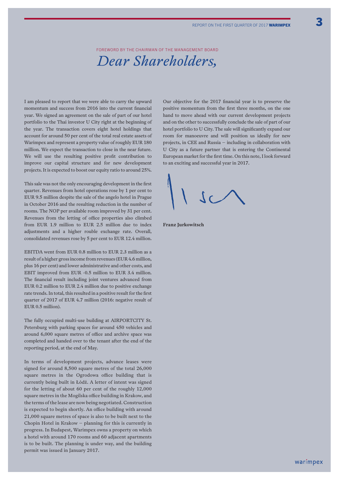Foreword by the Chairman of the Management Board *Dear Shareholders,*

I am pleased to report that we were able to carry the upward momentum and success from 2016 into the current financial year. We signed an agreement on the sale of part of our hotel portfolio to the Thai investor U City right at the beginning of the year. The transaction covers eight hotel holdings that account for around 50 per cent of the total real estate assets of Warimpex and represent a property value of roughly EUR 180 million. We expect the transaction to close in the near future. We will use the resulting positive profit contribution to improve our capital structure and for new development projects. It is expected to boost our equity ratio to around 25%.

This sale was not the only encouraging development in the first quarter. Revenues from hotel operations rose by 1 per cent to EUR 9.5 million despite the sale of the angelo hotel in Prague in October 2016 and the resulting reduction in the number of rooms. The NOP per available room improved by 31 per cent. Revenues from the letting of office properties also climbed from EUR 1.9 million to EUR 2.5 million due to index adjustments and a higher rouble exchange rate. Overall, consolidated revenues rose by 5 per cent to EUR 12.4 million.

EBITDA went from EUR 0.8 million to EUR 2.3 million as a result of a higher gross income from revenues (EUR 4.6 million, plus 16 per cent) and lower administrative and other costs, and EBIT improved from EUR -0.5 million to EUR 3.4 million. The financial result including joint ventures advanced from EUR 0.2 million to EUR 2.4 million due to positive exchange rate trends. In total, this resulted in a positive result for the first quarter of 2017 of EUR 4.7 million (2016: negative result of EUR 0.5 million).

The fully occupied multi-use building at AIRPORTCITY St. Petersburg with parking spaces for around 450 vehicles and around 6,000 square metres of office and archive space was completed and handed over to the tenant after the end of the reporting period, at the end of May.

In terms of development projects, advance leases were signed for around 8,500 square metres of the total 26,000 square metres in the Ogrodowa office building that is currently being built in Łódź. A letter of intent was signed for the letting of about 60 per cent of the roughly 12,000 square metres in the Mogilska office building in Krakow, and the terms of the lease are now being negotiated. Construction is expected to begin shortly. An office building with around 21,000 square metres of space is also to be built next to the Chopin Hotel in Krakow – planning for this is currently in progress. In Budapest, Warimpex owns a property on which a hotel with around 170 rooms and 60 adjacent apartments is to be built. The planning is under way, and the building permit was issued in January 2017.

Our objective for the 2017 financial year is to preserve the positive momentum from the first three months, on the one hand to move ahead with our current development projects and on the other to successfully conclude the sale of part of our hotel portfolio to U City. The sale will significantly expand our room for manoeuvre and will position us ideally for new projects, in CEE and Russia – including in collaboration with U City as a future partner that is entering the Continental European market for the first time. On this note, I look forward to an exciting and successful year in 2017.

**Franz Jurkowitsch**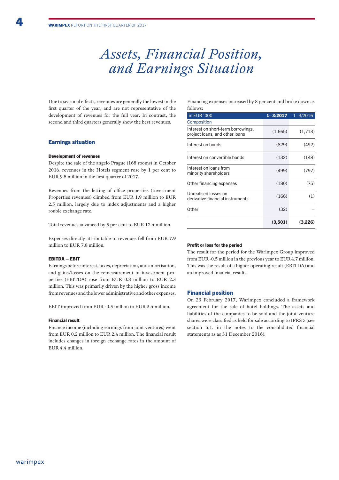## *Assets, Financial Position, and Earnings Situation*

Due to seasonal effects, revenues are generally the lowest in the first quarter of the year, and are not representative of the development of revenues for the full year. In contrast, the second and third quarters generally show the best revenues.

### Earnings situation

#### Development of revenues

Despite the sale of the angelo Prague (168 rooms) in October 2016, revenues in the Hotels segment rose by 1 per cent to EUR 9.5 million in the first quarter of 2017.

Revenues from the letting of office properties (Investment Properties revenues) climbed from EUR 1.9 million to EUR 2.5 million, largely due to index adjustments and a higher rouble exchange rate.

Total revenues advanced by 5 per cent to EUR 12.4 million.

Expenses directly attributable to revenues fell from EUR 7.9 million to EUR 7.8 million.

### EBITDA – EBIT

Earnings before interest, taxes, depreciation, and amortisation, and gains/losses on the remeasurement of investment properties (EBITDA) rose from EUR 0.8 million to EUR 2.3 million. This was primarily driven by the higher gross income from revenues and the lower administrative and other expenses.

EBIT improved from EUR -0.5 million to EUR 3.4 million.

#### Financial result

Finance income (including earnings from joint ventures) went from EUR 0.2 million to EUR 2.4 million. The financial result includes changes in foreign exchange rates in the amount of EUR 4.4 million.

Financing expenses increased by 8 per cent and broke down as follows:

| in EUR '000                                                          | $1 - 3/2017$ | $1 - 3/2016$ |
|----------------------------------------------------------------------|--------------|--------------|
| Composition                                                          |              |              |
| Interest on short-term borrowings,<br>project loans, and other loans | (1,665)      | (1,713)      |
| Interest on bonds                                                    | (829)        | (492)        |
| Interest on convertible bonds                                        | (132)        | (148)        |
| Interest on loans from<br>minority shareholders                      | (499)        | (797)        |
| Other financing expenses                                             | (180)        | (75)         |
| Unrealised losses on<br>derivative financial instruments             | (166)        | (1)          |
| Other                                                                | (32)         |              |
|                                                                      | (3,501)      | (3,226)      |

#### Profit or loss for the period

The result for the period for the Warimpex Group improved from EUR -0.5 million in the previous year to EUR 4.7 million. This was the result of a higher operating result (EBITDA) and an improved financial result.

#### Financial position

On 23 February 2017, Warimpex concluded a framework agreement for the sale of hotel holdings. The assets and liabilities of the companies to be sold and the joint venture shares were classified as held for sale according to IFRS 5 (see section 5.1. in the notes to the consolidated financial statements as as 31 December 2016).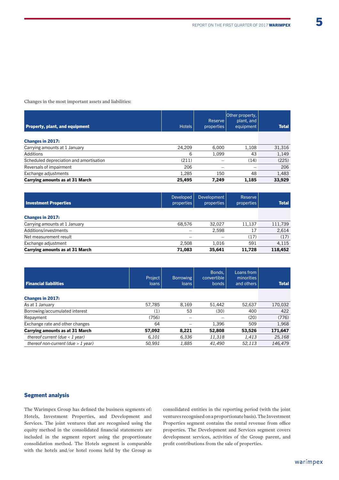Changes in the most important assets and liabilities:

| <b>Property, plant, and equipment</b>   | <b>Hotels</b> | Reserve<br>properties | Other property,<br>plant, and<br>equipment | <b>Total</b> |
|-----------------------------------------|---------------|-----------------------|--------------------------------------------|--------------|
| <b>Changes in 2017:</b>                 |               |                       |                                            |              |
| Carrying amounts at 1 January           | 24.209        | 6.000                 | 1.108                                      | 31,316       |
| Additions                               | 6             | 1,099                 | 43                                         | 1,149        |
| Scheduled depreciation and amortisation | (211)         |                       | (14)                                       | (225)        |
| Reversals of impairment                 | 206           |                       |                                            | 206          |
| Exchange adjustments                    | 1.285         | 150                   | 48                                         | 1,483        |
| <b>Carrying amounts as at 31 March</b>  | 25,495        | 7,249                 | 1,185                                      | 33,929       |

| <b>Investment Properties</b>           | <b>Developed</b><br>properties | Development<br>properties | Reserve<br>properties | <b>Total</b> |
|----------------------------------------|--------------------------------|---------------------------|-----------------------|--------------|
| <b>Changes in 2017:</b>                |                                |                           |                       |              |
| Carrying amounts at 1 January          | 68.576                         | 32.027                    | 11.137                | 111,739      |
| Additions/investments                  |                                | 2.598                     | 17                    | 2,614        |
| Net measurement result                 |                                |                           | (17)                  | (17)         |
| Exchange adjustment                    | 2.508                          | 1.016                     | 591                   | 4.115        |
| <b>Carrying amounts as at 31 March</b> | 71.083                         | 35.641                    | 11.728                | 118,452      |

| <b>Financial liabilities</b>           | Project<br><b>loans</b> | <b>Borrowing</b><br>loans | Bonds.<br>convertible<br><b>bonds</b> | Loans from<br>minorities<br>and others | <b>Total</b> |
|----------------------------------------|-------------------------|---------------------------|---------------------------------------|----------------------------------------|--------------|
| <b>Changes in 2017:</b>                |                         |                           |                                       |                                        |              |
| As at 1 January                        | 57,785                  | 8.169                     | 51.442                                | 52,637                                 | 170,032      |
| Borrowing/accumulated interest         | (1)                     | 53                        | (30)                                  | 400                                    | 422          |
| Repayment                              | (756)                   |                           |                                       | (20)                                   | (776)        |
| Exchange rate and other changes        | 64                      |                           | 1,396                                 | 509                                    | 1,968        |
| <b>Carrying amounts as at 31 March</b> | 57.092                  | 8.221                     | 52,808                                | 53.526                                 | 171,647      |
| thereof current (due $<$ 1 year)       | 6.101                   | 6,336                     | 11,318                                | 1.413                                  | 25,168       |
| thereof non-current (due $> 1$ year)   | 50.991                  | 1.885                     | 41.490                                | 52.113                                 | 146.479      |

### Segment analysis

The Warimpex Group has defined the business segments of: Hotels, Investment Properties, and Development and Services. The joint ventures that are recognised using the equity method in the consolidated financial statements are included in the segment report using the proportionate consolidation method. The Hotels segment is comparable with the hotels and/or hotel rooms held by the Group as

consolidated entities in the reporting period (with the joint ventures recognised on a proportionate basis). The Investment Properties segment contains the rental revenue from office properties. The Development and Services segment covers development services, activities of the Group parent, and profit contributions from the sale of properties.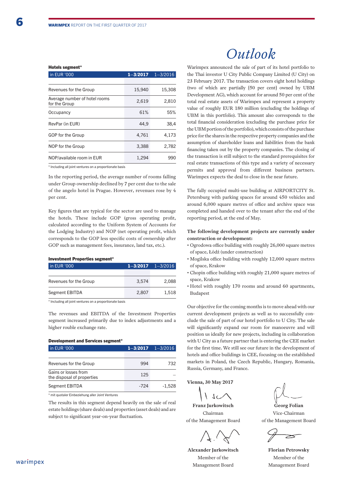#### Hotels segment\*

| in EUR '000                                    | $1 - 3/2017$ | $1 - 3/2016$ |
|------------------------------------------------|--------------|--------------|
|                                                |              |              |
| Revenues for the Group                         | 15,940       | 15,308       |
| Average number of hotel rooms<br>for the Group | 2,619        | 2,810        |
| Occupancy                                      | 61%          | 55%          |
| RevPar (in EUR)                                | 44.9         | 38,4         |
| GOP for the Group                              | 4,761        | 4.173        |
| NOP for the Group                              | 3,388        | 2,782        |
| NOP/available room in EUR                      | 1,294        | 990          |
|                                                |              |              |

\* Including all joint ventures on a proportionate basis

In the reporting period, the average number of rooms falling under Group ownership declined by 7 per cent due to the sale of the angelo hotel in Prague. However, revenues rose by 4 per cent.

Key figures that are typical for the sector are used to manage the hotels. These include GOP (gross operating profit, calculated according to the Uniform System of Accounts for the Lodging Industry) and NOP (net operating profit, which corresponds to the GOP less specific costs of ownership after GOP such as management fees, insurance, land tax, etc.).

#### Investment Properties segment\*

| in EUR '000            | $1 - 3/2017$ $1 - 3/2016$ |       |
|------------------------|---------------------------|-------|
|                        |                           |       |
| Revenues for the Group | 3.574                     | 2.088 |
| Segment EBITDA         | 2.807                     | 1.518 |

\* Including all joint ventures on a proportionate basis

The revenues and EBITDA of the Investment Properties segment increased primarily due to index adjustments and a higher rouble exchange rate.

### Development and Services segment\*

| in EUR '000                                        | $1 - 3/2017$ $1 - 3/2016$ |          |
|----------------------------------------------------|---------------------------|----------|
|                                                    |                           |          |
| Revenues for the Group                             | 994                       | 732      |
| Gains or losses from<br>the disposal of properties | 125                       |          |
| Segment EBITDA                                     | -724                      | $-1.528$ |

\* mit quotaler Einbeziehung aller Joint Ventures

The results in this segment depend heavily on the sale of real estate holdings (share deals) and properties (asset deals) and are subject to significant year-on-year fluctuation.

## *Outlook*

Warimpex announced the sale of part of its hotel portfolio to the Thai investor U City Public Company Limited (U City) on 23 February 2017. The transaction covers eight hotel holdings (two of which are partially [50 per cent] owned by UBM Development AG), which account for around 50 per cent of the total real estate assets of Warimpex and represent a property value of roughly EUR 180 million (excluding the holdings of UBM in this portfolio). This amount also corresponds to the total financial consideration (excluding the purchase price for the UBM portion of the portfolio), which consists of the purchase price for the shares in the respective property companies and the assumption of shareholder loans and liabilities from the bank financing taken out by the property companies. The closing of the transaction is still subject to the standard prerequisites for real estate transactions of this type and a variety of necessary permits and approval from different business partners. Warimpex expects the deal to close in the near future.

The fully occupied multi-use building at AIRPORTCITY St. Petersburg with parking spaces for around 450 vehicles and around 6,000 square metres of office and archive space was completed and handed over to the tenant after the end of the reporting period, at the end of May.

**The following development projects are currently under construction or development:**

- Ogrodowa office building with roughly 26,000 square metres of space, Łódź (under construction)
- Mogilska office building with roughly 12,000 square metres of space, Krakow
- Chopin office building with roughly 21,000 square metres of space, Krakow
- Hotel with roughly 170 rooms and around 60 apartments, Budapest

Our objective for the coming months is to move ahead with our current development projects as well as to successfully conclude the sale of part of our hotel portfolio to U City. The sale will significantly expand our room for manoeuvre and will position us ideally for new projects, including in collaboration with U City as a future partner that is entering the CEE market for the first time. We still see our future in the development of hotels and office buildings in CEE, focusing on the established markets in Poland, the Czech Republic, Hungary, Romania, Russia, Germany, and France.

**Vienna, 30 May 2017**

**Franz Jurkowitsch** Chairman

of the Management Board

**Alexander Jurkowitsch** Member of the Management Board

**Georg Folian** Vice-Chairman of the Management Board

**Florian Petrowsky** Member of the Management Board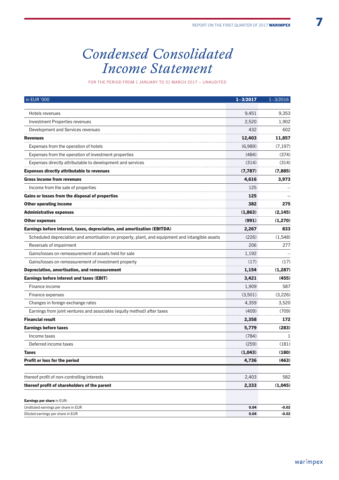## *Condensed Consolidated Income Statement*

for the period from 1 January to 31 March 2017 – unaudited

| in EUR '000                                                                                     | $1 - 3/2017$ | $1 - 3/2016$ |
|-------------------------------------------------------------------------------------------------|--------------|--------------|
| Hotels revenues                                                                                 | 9,451        | 9,353        |
|                                                                                                 | 2,520        | 1,902        |
| <b>Investment Properties revenues</b>                                                           | 432          | 602          |
| Development and Services revenues                                                               |              |              |
| <b>Revenues</b>                                                                                 | 12,403       | 11,857       |
| Expenses from the operation of hotels                                                           | (6,989)      | (7, 197)     |
| Expenses from the operation of investment properties                                            | (484)        | (374)        |
| Expenses directly attributable to development and services                                      | (314)        | (314)        |
| <b>Expenses directly attributable to revenues</b>                                               | (7,787)      | (7,885)      |
| <b>Gross income from revenues</b>                                                               | 4,616        | 3,973        |
| Income from the sale of properties                                                              | 125          |              |
| Gains or losses from the disposal of properties                                                 | 125          |              |
| <b>Other operating income</b>                                                                   | 382          | 275          |
| <b>Administrative expenses</b>                                                                  | (1,863)      | (2, 145)     |
| <b>Other expenses</b>                                                                           | (991)        | (1,270)      |
| Earnings before interest, taxes, depreciation, and amortization (EBITDA)                        | 2,267        | 833          |
| Scheduled depreciation and amortisation on property, plant, and equipment and intangible assets | (226)        | (1,548)      |
| Reversals of impairment                                                                         | 206          | 277          |
| Gains/losses on remeasurement of assets held for sale                                           | 1,192        |              |
| Gains/losses on remeasurement of investment property                                            | (17)         | (17)         |
| Depreciation, amortisation, and remeasurement                                                   | 1,154        | (1,287)      |
| <b>Earnings before interest and taxes (EBIT)</b>                                                | 3,421        | (455)        |
| Finance income                                                                                  | 1,909        | 587          |
| Finance expenses                                                                                | (3,501)      | (3,226)      |
| Changes in foreign exchange rates                                                               | 4,359        | 3,520        |
| Earnings from joint ventures and associates (equity method) after taxes                         | (409)        | (709)        |
| <b>Financial result</b>                                                                         | 2,358        | 172          |
| <b>Earnings before taxes</b>                                                                    | 5,779        | (283)        |
| Income taxes                                                                                    | (784)        | 1            |
| Deferred income taxes                                                                           | (259)        | (181)        |
| <b>Taxes</b>                                                                                    | (1,043)      | (180)        |
| <b>Profit or loss for the period</b>                                                            | 4,736        | (463)        |
| thereof profit of non-controlling interests                                                     | 2,403        | 582          |
| thereof profit of shareholders of the parent                                                    | 2,333        | (1,045)      |
| Earnings per share in EUR:                                                                      |              |              |
| Undiluted earnings per share in EUR                                                             | 0.04         | $-0.02$      |
| Diluted earnings per share in EUR                                                               | 0.04         | $-0.02$      |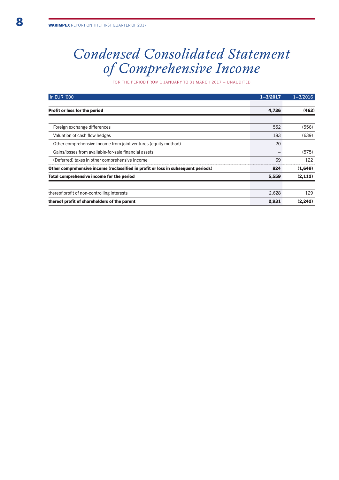## *Condensed Consolidated Statement of Comprehensive Income*

for the period from 1 January to 31 March 2017 – unaudited

| in EUR '000                                                                       | $1 - 3/2017$ | $1 - 3/2016$ |
|-----------------------------------------------------------------------------------|--------------|--------------|
|                                                                                   |              |              |
| Profit or loss for the period                                                     | 4,736        | (463)        |
|                                                                                   |              |              |
| Foreign exchange differences                                                      | 552          | (556)        |
| Valuation of cash flow hedges                                                     | 183          | (639)        |
| Other comprehensive income from joint ventures (equity method)                    | 20           |              |
| Gains/losses from available-for-sale financial assets                             |              | (575)        |
| (Deferred) taxes in other comprehensive income                                    | 69           | 122          |
| Other comprehensive income (reclassified in profit or loss in subsequent periods) | 824          | (1,649)      |
| Total comprehensive income for the period                                         | 5,559        | (2, 112)     |
|                                                                                   |              |              |
| thereof profit of non-controlling interests                                       | 2,628        | 129          |
| thereof profit of shareholders of the parent                                      | 2,931        | (2, 242)     |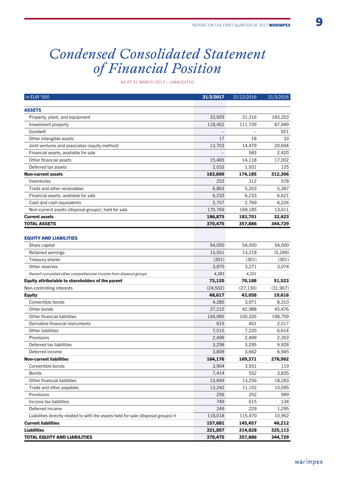## *Condensed Consolidated Statement of Financial Position*

as at 31 March 2017 – unaudited

| in EUR '000                                                                       | 31/3/2017 | 31/12/2016 | 31/3/2016 |
|-----------------------------------------------------------------------------------|-----------|------------|-----------|
| <b>ASSETS</b>                                                                     |           |            |           |
| Property, plant, and equipment                                                    | 33,929    | 31,316     | 183,253   |
| Investment property                                                               | 118,452   | 111,739    | 87,949    |
| Goodwill                                                                          |           |            | 921       |
| Other intangible assets                                                           | 17        | 18         | 33        |
| Joint ventures and associates (equity method)                                     | 13,703    | 14,479     | 20,604    |
| Financial assets, available for sale                                              |           | 583        | 2,420     |
| Other financial assets                                                            | 15,465    | 14,118     | 17,002    |
| Deferred tax assets                                                               | 2,033     | 1,931      | 125       |
| <b>Non-current assets</b>                                                         | 183,600   | 174,185    | 312,306   |
| Inventories                                                                       | 253       | 312        | 578       |
| Trade and other receivables                                                       | 6,863     | 5,203      | 5,387     |
| Financial assets, available for sale                                              | 6,233     | 6,233      | 6,621     |
| Cash and cash equivalents                                                         | 2,757     | 2,769      | 6,226     |
| Non-current assets (disposal groups), held for sale                               | 170,769   | 169,185    | 13,611    |
| <b>Current assets</b>                                                             | 186,875   | 183,701    | 32,423    |
| <b>TOTAL ASSETS</b>                                                               | 370,475   | 357,886    | 344,729   |
|                                                                                   |           |            |           |
| <b>EQUITY AND LIABILITIES</b>                                                     |           |            |           |
| Share capital                                                                     | 54,000    | 54,000     | 54,000    |
| Retained earnings                                                                 | 15,551    | 13,218     | (5, 249)  |
| Treasury shares                                                                   | (301)     | (301)      | (301)     |
| Other reserves                                                                    | 3,870     | 3,271      | 3,074     |
| thereof cumulated other comprehensive income from disposal groups                 | 4,383     | 4,201      |           |
| Equity attributable to shareholders of the parent                                 | 73,120    | 70,188     | 51,523    |
| Non-controlling interests                                                         | (24, 502) | (27, 130)  | (31,907)  |
| <b>Equity</b>                                                                     | 48,617    | 43,058     | 19,616    |
| Convertible bonds                                                                 | 4,280     | 3,971      | 8,310     |
| Other bonds                                                                       | 37,210    | 42,988     | 43,476    |
| Other financial liabilities                                                       | 104,990   | 105,335    | 198,759   |
| Derivative financial instruments                                                  | 615       | 401        | 2,517     |
| <b>Other liabilities</b>                                                          | 7,515     | 7,220      | 6,614     |
| Provisions                                                                        | 2,499     | 2,499      | 2,353     |
| Deferred tax liabilities                                                          | 3,258     | 3,295      | 9,928     |
| Deferred income                                                                   | 3,809     | 3,662      | 6,945     |
| <b>Non-current liabilities</b>                                                    | 164,176   | 169,371    | 278,902   |
| Convertible bonds                                                                 | 3,904     | 3,931      | 119       |
| <b>Bonds</b>                                                                      | 7,414     | 552        | 3,835     |
| Other financial liabilities                                                       | 13,849    | 13,256     | 18,283    |
| Trade and other payables                                                          | 13,242    | 11,152     | 10,595    |
| Provisions                                                                        | 256       | 252        | 999       |
| Income tax liabilities                                                            | 749       | 615        | 134       |
| Deferred income                                                                   | 249       | 229        | 1,295     |
| Liabilities directly related to with the assets held for sale (disposal groups) h | 118,018   | 115,470    | 10,952    |
| <b>Current liabilities</b>                                                        | 157,681   | 145,457    | 46,212    |
| <b>Liabilities</b>                                                                | 321,857   | 314,828    | 325,113   |
| <b>TOTAL EQUITY AND LIABILITIES</b>                                               | 370,475   | 357,886    | 344,729   |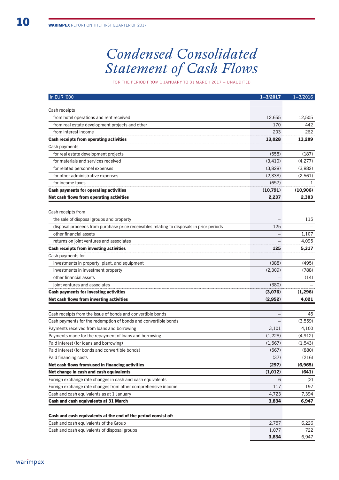# *Condensed Consolidated Statement of Cash Flows*

for the period from 1 January to 31 March 2017 – unaudited

| in EUR '000                                                                              | $1 - 3/2017$ | $1 - 3/2016$ |
|------------------------------------------------------------------------------------------|--------------|--------------|
|                                                                                          |              |              |
| Cash receipts                                                                            |              |              |
| from hotel operations and rent received                                                  | 12,655       | 12,505       |
| from real estate development projects and other                                          | 170          | 442          |
| from interest income                                                                     | 203          | 262          |
| <b>Cash receipts from operating activities</b>                                           | 13,028       | 13,209       |
| Cash payments                                                                            |              |              |
| for real estate development projects                                                     | (558)        | (187)        |
| for materials and services received                                                      | (3,410)      | (4,277)      |
| for related personnel expenses                                                           | (3,828)      | (3,882)      |
| for other administrative expenses                                                        | (2,338)      | (2, 561)     |
| for income taxes                                                                         | (657)        | 1            |
| <b>Cash payments for operating activities</b>                                            | (10,791)     | (10, 906)    |
| Net cash flows from operating activities                                                 | 2,237        | 2,303        |
| Cash receipts from                                                                       |              |              |
| the sale of disposal groups and property                                                 |              | 115          |
| disposal proceeds from purchase price receivables relating to disposals in prior periods | 125          |              |
| other financial assets                                                                   |              | 1,107        |
| returns on joint ventures and associates                                                 |              | 4,095        |
| <b>Cash receipts from investing activities</b>                                           | 125          | 5,317        |
| Cash payments for                                                                        |              |              |
| investments in property, plant, and equipment                                            | (388)        | (495)        |
| investments in investment property                                                       | (2,309)      | (788)        |
| other financial assets                                                                   |              | (14)         |
| joint ventures and associates                                                            | (380)        |              |
| <b>Cash payments for investing activities</b>                                            | (3,076)      | (1,296)      |
| Net cash flows from investing activities                                                 | (2,952)      | 4,021        |
|                                                                                          |              |              |
| Cash receipts from the issue of bonds and convertible bonds                              |              | 45           |
| Cash payments for the redemption of bonds and convertible bonds                          |              | (3,559)      |
| Payments received from loans and borrowing                                               | 3,101        | 4,100        |
| Payments made for the repayment of loans and borrowing                                   | (1,228)      | (4, 912)     |
| Paid interest (for loans and borrowing)                                                  | (1, 567)     | (1,543)      |
| Paid interest (for bonds and convertible bonds)                                          | (567)        | (880)        |
| Paid financing costs                                                                     | (37)         | (216)        |
| Net cash flows from/used in financing activities                                         | (297)        | (6,965)      |
| Net change in cash and cash equivalents                                                  | (1,012)      | (641)        |
| Foreign exchange rate changes in cash and cash equivalents                               | 6            | (2)          |
| Foreign exchange rate changes from other comprehensive income                            | 117          | 197          |
| Cash and cash equivalents as at 1 January                                                | 4,723        | 7,394        |
| <b>Cash and cash equivalents at 31 March</b>                                             | 3,834        | 6,947        |
| Cash and cash equivalents at the end of the period consist of:                           |              |              |
| Cash and cash equivalents of the Group                                                   | 2,757        | 6,226        |
| Cash and cash equivalents of disposal groups                                             | 1,077        | 722          |
|                                                                                          | 3,834        | 6,947        |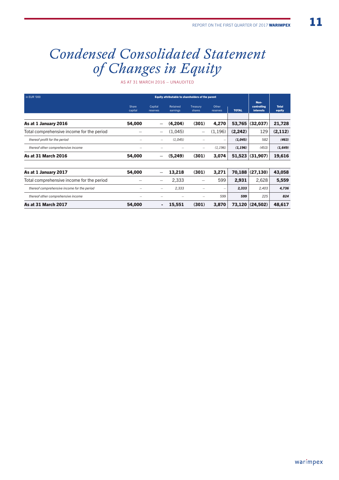# *Condensed Consolidated Statement of Changes in Equity*

as at 31 March 2016 – unaudited

| in EUR '000<br>Equity attributable to shareholders of the parent |                  |                          |                      |                             |                          |              |                                         |                        |
|------------------------------------------------------------------|------------------|--------------------------|----------------------|-----------------------------|--------------------------|--------------|-----------------------------------------|------------------------|
|                                                                  | Share<br>capital | Capital<br>reserves      | Retained<br>earnings | Treasury<br>shares          | Other<br>reserves        | <b>TOTAL</b> | Non-<br>controlling<br><b>interests</b> | <b>Total</b><br>equity |
| As at 1 January 2016                                             | 54,000           | $\qquad \qquad -$        | (4,204)              | (301)                       | 4,270                    | 53,765       | (32, 037)                               | 21,728                 |
| Total comprehensive income for the period                        |                  | $\overline{\phantom{m}}$ | (1.045)              | —                           | (1, 196)                 | (2, 242)     | 129                                     | (2, 112)               |
| thereof profit for the period                                    | -                | $\qquad \qquad$          | (1,045)              |                             | $\overline{\phantom{0}}$ | (1,045)      | 582                                     | (463)                  |
| thereof other comprehensive income                               |                  |                          |                      | $\overline{\phantom{0}}$    | (1, 196)                 | (1, 196)     | (453)                                   | (1, 649)               |
| <b>As at 31 March 2016</b>                                       | 54,000           |                          | (5,249)              | (301)                       | 3,074                    | 51,523       | (31,907)                                | 19,616                 |
|                                                                  |                  |                          |                      |                             |                          |              |                                         |                        |
| .                                                                | $- - - - -$      |                          | $\cdots$             | $\sim$ $\sim$ $\sim$ $\sim$ |                          | $-0.00$      | (0.000, 0.000)                          | $- - - - -$            |

| As at 1 January 2017                        | 54.000                   |                                | 13.218                   | (301)                    | 3.271                    |       | $70.188$ (27.130) | 43.058 |
|---------------------------------------------|--------------------------|--------------------------------|--------------------------|--------------------------|--------------------------|-------|-------------------|--------|
| Total comprehensive income for the period   |                          | $\qquad \qquad \longleftarrow$ | 2.333                    | $\overline{\phantom{0}}$ | 599                      | 2.931 | 2.628             | 5.559  |
| thereof comprehensive income for the period | $\overline{\phantom{0}}$ | $\overline{\phantom{a}}$       | 2.333                    | $\overline{\phantom{a}}$ | $\overline{\phantom{a}}$ | 2.333 | 2.403             | 4.736  |
| thereof other comprehensive income          | $\overline{\phantom{a}}$ | $\overline{\phantom{a}}$       | $\overline{\phantom{a}}$ | $\overline{\phantom{a}}$ | 599                      | 599   | 225               | 824    |
| <b>As at 31 March 2017</b>                  | 54,000                   |                                | 15.551                   | (301)                    | 3.870                    |       | 73,120 (24,502)   | 48.617 |